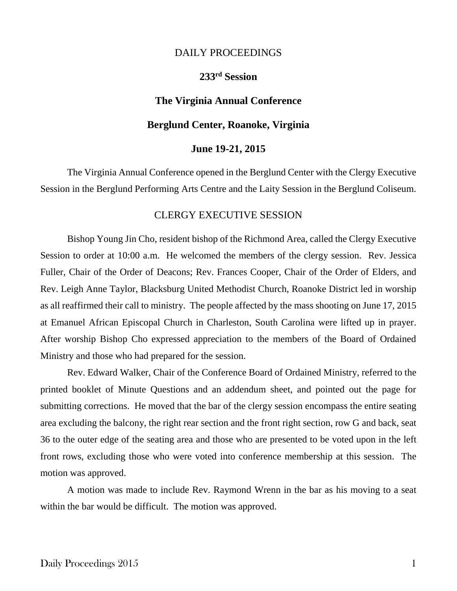### DAILY PROCEEDINGS

# **233 rd Session**

## **The Virginia Annual Conference**

### **Berglund Center, Roanoke, Virginia**

### **June 19-21, 2015**

The Virginia Annual Conference opened in the Berglund Center with the Clergy Executive Session in the Berglund Performing Arts Centre and the Laity Session in the Berglund Coliseum.

### CLERGY EXECUTIVE SESSION

Bishop Young Jin Cho, resident bishop of the Richmond Area, called the Clergy Executive Session to order at 10:00 a.m. He welcomed the members of the clergy session. Rev. Jessica Fuller, Chair of the Order of Deacons; Rev. Frances Cooper, Chair of the Order of Elders, and Rev. Leigh Anne Taylor, Blacksburg United Methodist Church, Roanoke District led in worship as all reaffirmed their call to ministry. The people affected by the mass shooting on June 17, 2015 at Emanuel African Episcopal Church in Charleston, South Carolina were lifted up in prayer. After worship Bishop Cho expressed appreciation to the members of the Board of Ordained Ministry and those who had prepared for the session.

Rev. Edward Walker, Chair of the Conference Board of Ordained Ministry, referred to the printed booklet of Minute Questions and an addendum sheet, and pointed out the page for submitting corrections. He moved that the bar of the clergy session encompass the entire seating area excluding the balcony, the right rear section and the front right section, row G and back, seat 36 to the outer edge of the seating area and those who are presented to be voted upon in the left front rows, excluding those who were voted into conference membership at this session. The motion was approved.

A motion was made to include Rev. Raymond Wrenn in the bar as his moving to a seat within the bar would be difficult. The motion was approved.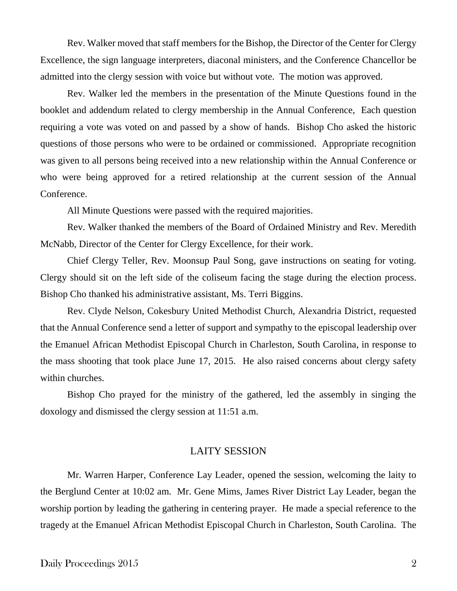Rev. Walker moved that staff members for the Bishop, the Director of the Center for Clergy Excellence, the sign language interpreters, diaconal ministers, and the Conference Chancellor be admitted into the clergy session with voice but without vote. The motion was approved.

Rev. Walker led the members in the presentation of the Minute Questions found in the booklet and addendum related to clergy membership in the Annual Conference, Each question requiring a vote was voted on and passed by a show of hands. Bishop Cho asked the historic questions of those persons who were to be ordained or commissioned. Appropriate recognition was given to all persons being received into a new relationship within the Annual Conference or who were being approved for a retired relationship at the current session of the Annual Conference.

All Minute Questions were passed with the required majorities.

Rev. Walker thanked the members of the Board of Ordained Ministry and Rev. Meredith McNabb, Director of the Center for Clergy Excellence, for their work.

Chief Clergy Teller, Rev. Moonsup Paul Song, gave instructions on seating for voting. Clergy should sit on the left side of the coliseum facing the stage during the election process. Bishop Cho thanked his administrative assistant, Ms. Terri Biggins.

Rev. Clyde Nelson, Cokesbury United Methodist Church, Alexandria District, requested that the Annual Conference send a letter of support and sympathy to the episcopal leadership over the Emanuel African Methodist Episcopal Church in Charleston, South Carolina, in response to the mass shooting that took place June 17, 2015. He also raised concerns about clergy safety within churches.

Bishop Cho prayed for the ministry of the gathered, led the assembly in singing the doxology and dismissed the clergy session at 11:51 a.m.

### LAITY SESSION

Mr. Warren Harper, Conference Lay Leader, opened the session, welcoming the laity to the Berglund Center at 10:02 am. Mr. Gene Mims, James River District Lay Leader, began the worship portion by leading the gathering in centering prayer. He made a special reference to the tragedy at the Emanuel African Methodist Episcopal Church in Charleston, South Carolina. The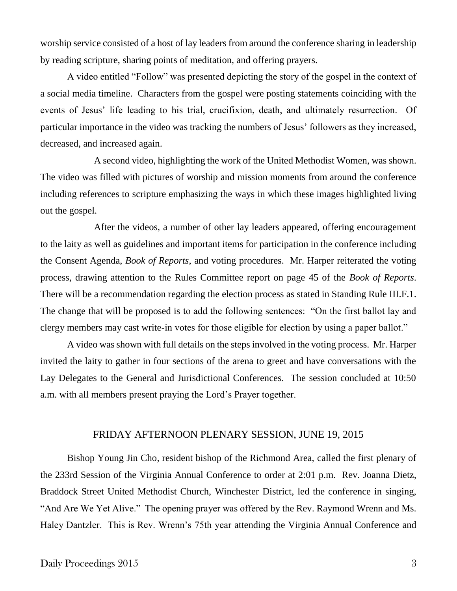worship service consisted of a host of lay leaders from around the conference sharing in leadership by reading scripture, sharing points of meditation, and offering prayers.

A video entitled "Follow" was presented depicting the story of the gospel in the context of a social media timeline. Characters from the gospel were posting statements coinciding with the events of Jesus' life leading to his trial, crucifixion, death, and ultimately resurrection. Of particular importance in the video was tracking the numbers of Jesus' followers as they increased, decreased, and increased again.

A second video, highlighting the work of the United Methodist Women, was shown. The video was filled with pictures of worship and mission moments from around the conference including references to scripture emphasizing the ways in which these images highlighted living out the gospel.

After the videos, a number of other lay leaders appeared, offering encouragement to the laity as well as guidelines and important items for participation in the conference including the Consent Agenda, *Book of Reports*, and voting procedures. Mr. Harper reiterated the voting process, drawing attention to the Rules Committee report on page 45 of the *Book of Reports*. There will be a recommendation regarding the election process as stated in Standing Rule III.F.1. The change that will be proposed is to add the following sentences: "On the first ballot lay and clergy members may cast write-in votes for those eligible for election by using a paper ballot."

A video was shown with full details on the steps involved in the voting process. Mr. Harper invited the laity to gather in four sections of the arena to greet and have conversations with the Lay Delegates to the General and Jurisdictional Conferences. The session concluded at 10:50 a.m. with all members present praying the Lord's Prayer together.

### FRIDAY AFTERNOON PLENARY SESSION, JUNE 19, 2015

Bishop Young Jin Cho, resident bishop of the Richmond Area, called the first plenary of the 233rd Session of the Virginia Annual Conference to order at 2:01 p.m. Rev. Joanna Dietz, Braddock Street United Methodist Church, Winchester District, led the conference in singing, "And Are We Yet Alive." The opening prayer was offered by the Rev. Raymond Wrenn and Ms. Haley Dantzler. This is Rev. Wrenn's 75th year attending the Virginia Annual Conference and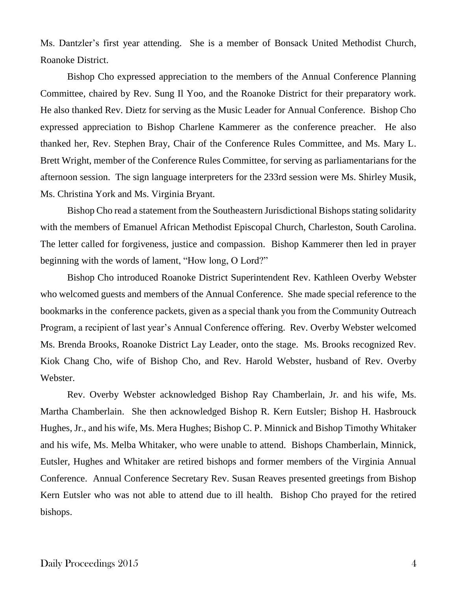Ms. Dantzler's first year attending. She is a member of Bonsack United Methodist Church, Roanoke District.

Bishop Cho expressed appreciation to the members of the Annual Conference Planning Committee, chaired by Rev. Sung Il Yoo, and the Roanoke District for their preparatory work. He also thanked Rev. Dietz for serving as the Music Leader for Annual Conference. Bishop Cho expressed appreciation to Bishop Charlene Kammerer as the conference preacher. He also thanked her, Rev. Stephen Bray, Chair of the Conference Rules Committee, and Ms. Mary L. Brett Wright, member of the Conference Rules Committee, for serving as parliamentarians for the afternoon session. The sign language interpreters for the 233rd session were Ms. Shirley Musik, Ms. Christina York and Ms. Virginia Bryant.

Bishop Cho read a statement from the Southeastern Jurisdictional Bishops stating solidarity with the members of Emanuel African Methodist Episcopal Church, Charleston, South Carolina. The letter called for forgiveness, justice and compassion. Bishop Kammerer then led in prayer beginning with the words of lament, "How long, O Lord?"

Bishop Cho introduced Roanoke District Superintendent Rev. Kathleen Overby Webster who welcomed guests and members of the Annual Conference. She made special reference to the bookmarks in the conference packets, given as a special thank you from the Community Outreach Program, a recipient of last year's Annual Conference offering. Rev. Overby Webster welcomed Ms. Brenda Brooks, Roanoke District Lay Leader, onto the stage. Ms. Brooks recognized Rev. Kiok Chang Cho, wife of Bishop Cho, and Rev. Harold Webster, husband of Rev. Overby Webster.

Rev. Overby Webster acknowledged Bishop Ray Chamberlain, Jr. and his wife, Ms. Martha Chamberlain. She then acknowledged Bishop R. Kern Eutsler; Bishop H. Hasbrouck Hughes, Jr., and his wife, Ms. Mera Hughes; Bishop C. P. Minnick and Bishop Timothy Whitaker and his wife, Ms. Melba Whitaker, who were unable to attend. Bishops Chamberlain, Minnick, Eutsler, Hughes and Whitaker are retired bishops and former members of the Virginia Annual Conference. Annual Conference Secretary Rev. Susan Reaves presented greetings from Bishop Kern Eutsler who was not able to attend due to ill health. Bishop Cho prayed for the retired bishops.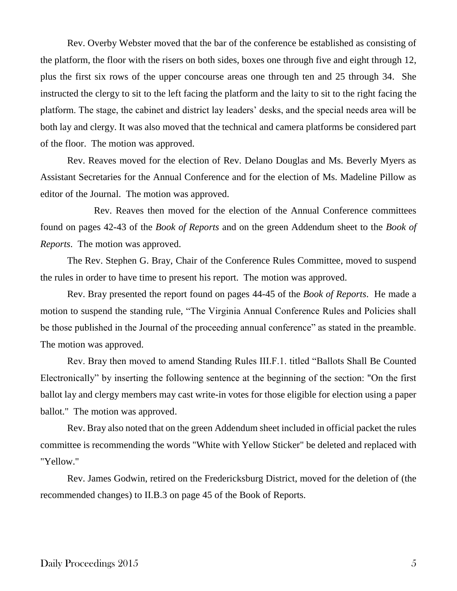Rev. Overby Webster moved that the bar of the conference be established as consisting of the platform, the floor with the risers on both sides, boxes one through five and eight through 12, plus the first six rows of the upper concourse areas one through ten and 25 through 34. She instructed the clergy to sit to the left facing the platform and the laity to sit to the right facing the platform. The stage, the cabinet and district lay leaders' desks, and the special needs area will be both lay and clergy. It was also moved that the technical and camera platforms be considered part of the floor. The motion was approved.

Rev. Reaves moved for the election of Rev. Delano Douglas and Ms. Beverly Myers as Assistant Secretaries for the Annual Conference and for the election of Ms. Madeline Pillow as editor of the Journal. The motion was approved.

Rev. Reaves then moved for the election of the Annual Conference committees found on pages 42-43 of the *Book of Reports* and on the green Addendum sheet to the *Book of Reports*. The motion was approved.

The Rev. Stephen G. Bray, Chair of the Conference Rules Committee, moved to suspend the rules in order to have time to present his report. The motion was approved.

Rev. Bray presented the report found on pages 44-45 of the *Book of Reports*. He made a motion to suspend the standing rule, "The Virginia Annual Conference Rules and Policies shall be those published in the Journal of the proceeding annual conference" as stated in the preamble. The motion was approved.

Rev. Bray then moved to amend Standing Rules III.F.1. titled "Ballots Shall Be Counted Electronically" by inserting the following sentence at the beginning of the section: "On the first ballot lay and clergy members may cast write-in votes for those eligible for election using a paper ballot." The motion was approved.

Rev. Bray also noted that on the green Addendum sheet included in official packet the rules committee is recommending the words "White with Yellow Sticker" be deleted and replaced with "Yellow."

Rev. James Godwin, retired on the Fredericksburg District, moved for the deletion of (the recommended changes) to II.B.3 on page 45 of the Book of Reports.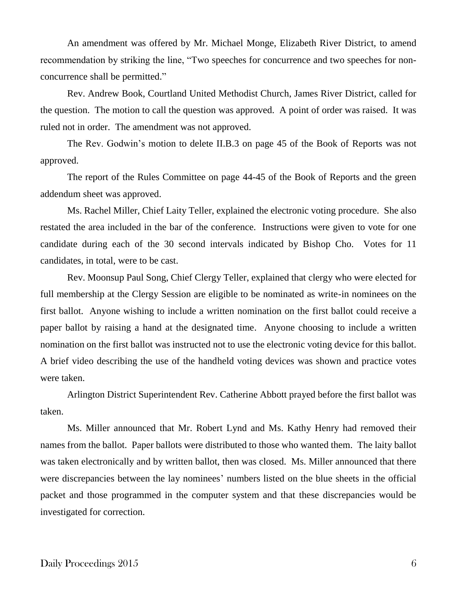An amendment was offered by Mr. Michael Monge, Elizabeth River District, to amend recommendation by striking the line, "Two speeches for concurrence and two speeches for nonconcurrence shall be permitted."

Rev. Andrew Book, Courtland United Methodist Church, James River District, called for the question. The motion to call the question was approved. A point of order was raised. It was ruled not in order. The amendment was not approved.

The Rev. Godwin's motion to delete II.B.3 on page 45 of the Book of Reports was not approved.

The report of the Rules Committee on page 44-45 of the Book of Reports and the green addendum sheet was approved.

Ms. Rachel Miller, Chief Laity Teller, explained the electronic voting procedure. She also restated the area included in the bar of the conference. Instructions were given to vote for one candidate during each of the 30 second intervals indicated by Bishop Cho. Votes for 11 candidates, in total, were to be cast.

Rev. Moonsup Paul Song, Chief Clergy Teller, explained that clergy who were elected for full membership at the Clergy Session are eligible to be nominated as write-in nominees on the first ballot. Anyone wishing to include a written nomination on the first ballot could receive a paper ballot by raising a hand at the designated time. Anyone choosing to include a written nomination on the first ballot was instructed not to use the electronic voting device for this ballot. A brief video describing the use of the handheld voting devices was shown and practice votes were taken.

Arlington District Superintendent Rev. Catherine Abbott prayed before the first ballot was taken.

Ms. Miller announced that Mr. Robert Lynd and Ms. Kathy Henry had removed their names from the ballot. Paper ballots were distributed to those who wanted them. The laity ballot was taken electronically and by written ballot, then was closed. Ms. Miller announced that there were discrepancies between the lay nominees' numbers listed on the blue sheets in the official packet and those programmed in the computer system and that these discrepancies would be investigated for correction.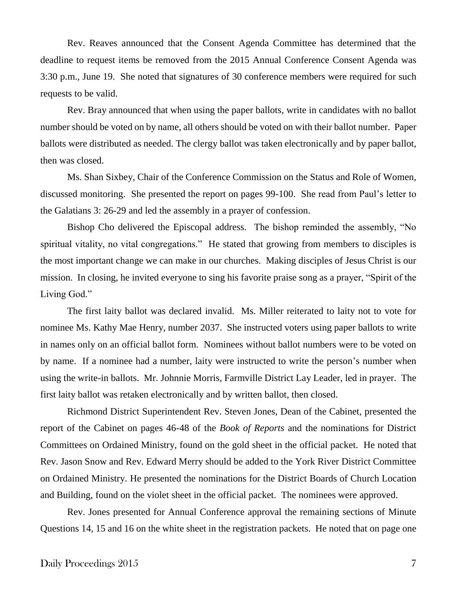Rev. Reaves announced that the Consent Agenda Committee has determined that the deadline to request items be removed from the 2015 Annual Conference Consent Agenda was 3:30 p.m., June 19. She noted that signatures of 30 conference members were required for such requests to be valid.

Rev. Bray announced that when using the paper ballots, write in candidates with no ballot number should be voted on by name, all others should be voted on with their ballot number. Paper ballots were distributed as needed. The clergy ballot was taken electronically and by paper ballot, then was closed.

Ms. Shan Sixbey, Chair of the Conference Commission on the Status and Role of Women, discussed monitoring. She presented the report on pages 99-100. She read from Paul's letter to the Galatians 3: 26-29 and led the assembly in a prayer of confession.

Bishop Cho delivered the Episcopal address. The bishop reminded the assembly, "No spiritual vitality, no vital congregations." He stated that growing from members to disciples is the most important change we can make in our churches. Making disciples of Jesus Christ is our mission. In closing, he invited everyone to sing his favorite praise song as a prayer, "Spirit of the Living God."

The first laity ballot was declared invalid. Ms. Miller reiterated to laity not to vote for nominee Ms. Kathy Mae Henry, number 2037. She instructed voters using paper ballots to write in names only on an official ballot form. Nominees without ballot numbers were to be voted on by name. If a nominee had a number, laity were instructed to write the person's number when using the write-in ballots. Mr. Johnnie Morris, Farmville District Lay Leader, led in prayer. The first laity ballot was retaken electronically and by written ballot, then closed.

Richmond District Superintendent Rev. Steven Jones, Dean of the Cabinet, presented the report of the Cabinet on pages 46-48 of the *Book of Reports* and the nominations for District Committees on Ordained Ministry, found on the gold sheet in the official packet. He noted that Rev. Jason Snow and Rev. Edward Merry should be added to the York River District Committee on Ordained Ministry. He presented the nominations for the District Boards of Church Location and Building, found on the violet sheet in the official packet. The nominees were approved.

Rev. Jones presented for Annual Conference approval the remaining sections of Minute Questions 14, 15 and 16 on the white sheet in the registration packets. He noted that on page one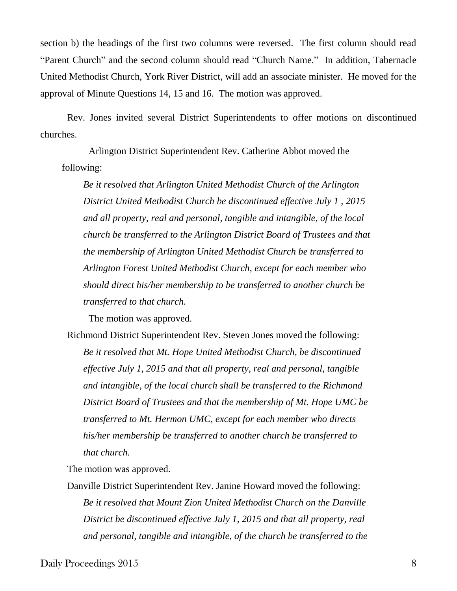section b) the headings of the first two columns were reversed. The first column should read "Parent Church" and the second column should read "Church Name." In addition, Tabernacle United Methodist Church, York River District, will add an associate minister. He moved for the approval of Minute Questions 14, 15 and 16. The motion was approved.

Rev. Jones invited several District Superintendents to offer motions on discontinued churches.

Arlington District Superintendent Rev. Catherine Abbot moved the following:

*Be it resolved that Arlington United Methodist Church of the Arlington District United Methodist Church be discontinued effective July 1 , 2015 and all property, real and personal, tangible and intangible, of the local church be transferred to the Arlington District Board of Trustees and that the membership of Arlington United Methodist Church be transferred to Arlington Forest United Methodist Church, except for each member who should direct his/her membership to be transferred to another church be transferred to that church.*

The motion was approved.

Richmond District Superintendent Rev. Steven Jones moved the following: *Be it resolved that Mt. Hope United Methodist Church, be discontinued effective July 1, 2015 and that all property, real and personal, tangible and intangible, of the local church shall be transferred to the Richmond District Board of Trustees and that the membership of Mt. Hope UMC be transferred to Mt. Hermon UMC, except for each member who directs his/her membership be transferred to another church be transferred to that church.*

The motion was approved.

Danville District Superintendent Rev. Janine Howard moved the following: *Be it resolved that Mount Zion United Methodist Church on the Danville District be discontinued effective July 1, 2015 and that all property, real and personal, tangible and intangible, of the church be transferred to the* 

Daily Proceedings 2015 8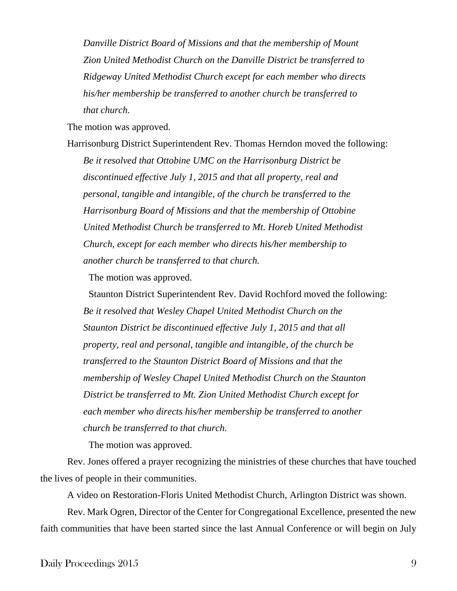*Danville District Board of Missions and that the membership of Mount Zion United Methodist Church on the Danville District be transferred to Ridgeway United Methodist Church except for each member who directs his/her membership be transferred to another church be transferred to that church.* 

The motion was approved.

Harrisonburg District Superintendent Rev. Thomas Herndon moved the following: *Be it resolved that Ottobine UMC on the Harrisonburg District be discontinued effective July 1, 2015 and that all property, real and personal, tangible and intangible, of the church be transferred to the Harrisonburg Board of Missions and that the membership of Ottobine United Methodist Church be transferred to Mt. Horeb United Methodist Church, except for each member who directs his/her membership to another church be transferred to that church.*

The motion was approved.

Staunton District Superintendent Rev. David Rochford moved the following: *Be it resolved that Wesley Chapel United Methodist Church on the Staunton District be discontinued effective July 1, 2015 and that all property, real and personal, tangible and intangible, of the church be transferred to the Staunton District Board of Missions and that the membership of Wesley Chapel United Methodist Church on the Staunton District be transferred to Mt. Zion United Methodist Church except for each member who directs his/her membership be transferred to another church be transferred to that church.*

The motion was approved.

Rev. Jones offered a prayer recognizing the ministries of these churches that have touched the lives of people in their communities.

A video on Restoration-Floris United Methodist Church, Arlington District was shown.

Rev. Mark Ogren, Director of the Center for Congregational Excellence, presented the new faith communities that have been started since the last Annual Conference or will begin on July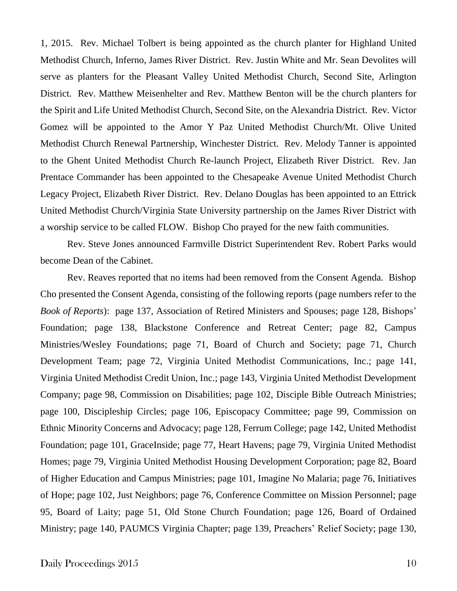1, 2015. Rev. Michael Tolbert is being appointed as the church planter for Highland United Methodist Church, Inferno, James River District. Rev. Justin White and Mr. Sean Devolites will serve as planters for the Pleasant Valley United Methodist Church, Second Site, Arlington District. Rev. Matthew Meisenhelter and Rev. Matthew Benton will be the church planters for the Spirit and Life United Methodist Church, Second Site, on the Alexandria District. Rev. Victor Gomez will be appointed to the Amor Y Paz United Methodist Church/Mt. Olive United Methodist Church Renewal Partnership, Winchester District. Rev. Melody Tanner is appointed to the Ghent United Methodist Church Re-launch Project, Elizabeth River District. Rev. Jan Prentace Commander has been appointed to the Chesapeake Avenue United Methodist Church Legacy Project, Elizabeth River District. Rev. Delano Douglas has been appointed to an Ettrick United Methodist Church/Virginia State University partnership on the James River District with a worship service to be called FLOW. Bishop Cho prayed for the new faith communities.

Rev. Steve Jones announced Farmville District Superintendent Rev. Robert Parks would become Dean of the Cabinet.

Rev. Reaves reported that no items had been removed from the Consent Agenda. Bishop Cho presented the Consent Agenda, consisting of the following reports (page numbers refer to the *Book of Reports*): page 137, Association of Retired Ministers and Spouses; page 128, Bishops' Foundation; page 138, Blackstone Conference and Retreat Center; page 82, Campus Ministries/Wesley Foundations; page 71, Board of Church and Society; page 71, Church Development Team; page 72, Virginia United Methodist Communications, Inc.; page 141, Virginia United Methodist Credit Union, Inc.; page 143, Virginia United Methodist Development Company; page 98, Commission on Disabilities; page 102, Disciple Bible Outreach Ministries; page 100, Discipleship Circles; page 106, Episcopacy Committee; page 99, Commission on Ethnic Minority Concerns and Advocacy; page 128, Ferrum College; page 142, United Methodist Foundation; page 101, GraceInside; page 77, Heart Havens; page 79, Virginia United Methodist Homes; page 79, Virginia United Methodist Housing Development Corporation; page 82, Board of Higher Education and Campus Ministries; page 101, Imagine No Malaria; page 76, Initiatives of Hope; page 102, Just Neighbors; page 76, Conference Committee on Mission Personnel; page 95, Board of Laity; page 51, Old Stone Church Foundation; page 126, Board of Ordained Ministry; page 140, PAUMCS Virginia Chapter; page 139, Preachers' Relief Society; page 130,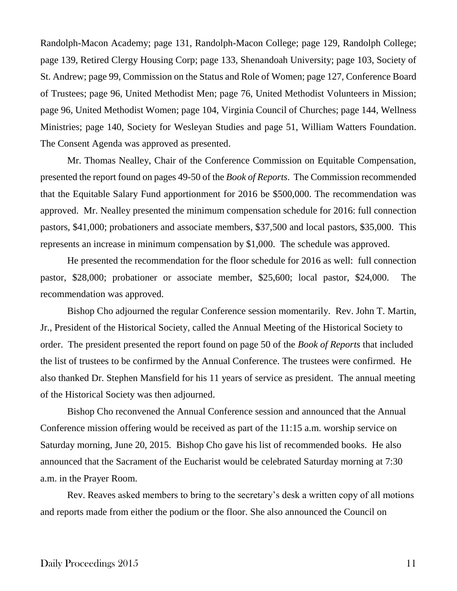Randolph-Macon Academy; page 131, Randolph-Macon College; page 129, Randolph College; page 139, Retired Clergy Housing Corp; page 133, Shenandoah University; page 103, Society of St. Andrew; page 99, Commission on the Status and Role of Women; page 127, Conference Board of Trustees; page 96, United Methodist Men; page 76, United Methodist Volunteers in Mission; page 96, United Methodist Women; page 104, Virginia Council of Churches; page 144, Wellness Ministries; page 140, Society for Wesleyan Studies and page 51, William Watters Foundation. The Consent Agenda was approved as presented.

Mr. Thomas Nealley, Chair of the Conference Commission on Equitable Compensation, presented the report found on pages 49-50 of the *Book of Reports*. The Commission recommended that the Equitable Salary Fund apportionment for 2016 be \$500,000. The recommendation was approved. Mr. Nealley presented the minimum compensation schedule for 2016: full connection pastors, \$41,000; probationers and associate members, \$37,500 and local pastors, \$35,000. This represents an increase in minimum compensation by \$1,000. The schedule was approved.

He presented the recommendation for the floor schedule for 2016 as well: full connection pastor, \$28,000; probationer or associate member, \$25,600; local pastor, \$24,000. The recommendation was approved.

Bishop Cho adjourned the regular Conference session momentarily. Rev. John T. Martin, Jr., President of the Historical Society, called the Annual Meeting of the Historical Society to order. The president presented the report found on page 50 of the *Book of Reports* that included the list of trustees to be confirmed by the Annual Conference. The trustees were confirmed. He also thanked Dr. Stephen Mansfield for his 11 years of service as president. The annual meeting of the Historical Society was then adjourned.

Bishop Cho reconvened the Annual Conference session and announced that the Annual Conference mission offering would be received as part of the 11:15 a.m. worship service on Saturday morning, June 20, 2015. Bishop Cho gave his list of recommended books. He also announced that the Sacrament of the Eucharist would be celebrated Saturday morning at 7:30 a.m. in the Prayer Room.

Rev. Reaves asked members to bring to the secretary's desk a written copy of all motions and reports made from either the podium or the floor. She also announced the Council on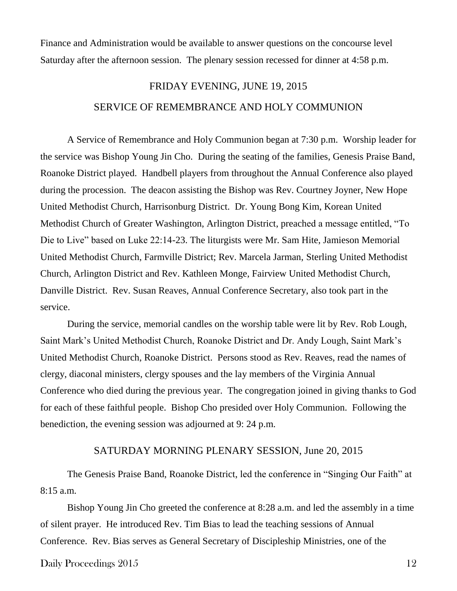Finance and Administration would be available to answer questions on the concourse level Saturday after the afternoon session. The plenary session recessed for dinner at 4:58 p.m.

# FRIDAY EVENING, JUNE 19, 2015 SERVICE OF REMEMBRANCE AND HOLY COMMUNION

A Service of Remembrance and Holy Communion began at 7:30 p.m. Worship leader for the service was Bishop Young Jin Cho. During the seating of the families, Genesis Praise Band, Roanoke District played. Handbell players from throughout the Annual Conference also played during the procession. The deacon assisting the Bishop was Rev. Courtney Joyner, New Hope United Methodist Church, Harrisonburg District. Dr. Young Bong Kim, Korean United Methodist Church of Greater Washington, Arlington District, preached a message entitled, "To Die to Live" based on Luke 22:14-23. The liturgists were Mr. Sam Hite, Jamieson Memorial United Methodist Church, Farmville District; Rev. Marcela Jarman, Sterling United Methodist Church, Arlington District and Rev. Kathleen Monge, Fairview United Methodist Church, Danville District. Rev. Susan Reaves, Annual Conference Secretary, also took part in the service.

During the service, memorial candles on the worship table were lit by Rev. Rob Lough, Saint Mark's United Methodist Church, Roanoke District and Dr. Andy Lough, Saint Mark's United Methodist Church, Roanoke District. Persons stood as Rev. Reaves, read the names of clergy, diaconal ministers, clergy spouses and the lay members of the Virginia Annual Conference who died during the previous year. The congregation joined in giving thanks to God for each of these faithful people. Bishop Cho presided over Holy Communion. Following the benediction, the evening session was adjourned at 9: 24 p.m.

### SATURDAY MORNING PLENARY SESSION, June 20, 2015

The Genesis Praise Band, Roanoke District, led the conference in "Singing Our Faith" at 8:15 a.m.

Bishop Young Jin Cho greeted the conference at 8:28 a.m. and led the assembly in a time of silent prayer. He introduced Rev. Tim Bias to lead the teaching sessions of Annual Conference. Rev. Bias serves as General Secretary of Discipleship Ministries, one of the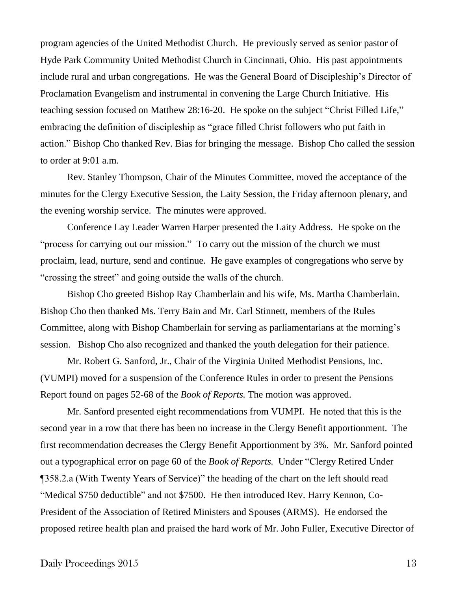program agencies of the United Methodist Church. He previously served as senior pastor of Hyde Park Community United Methodist Church in Cincinnati, Ohio. His past appointments include rural and urban congregations. He was the General Board of Discipleship's Director of Proclamation Evangelism and instrumental in convening the Large Church Initiative. His teaching session focused on Matthew 28:16-20. He spoke on the subject "Christ Filled Life," embracing the definition of discipleship as "grace filled Christ followers who put faith in action." Bishop Cho thanked Rev. Bias for bringing the message. Bishop Cho called the session to order at 9:01 a.m.

Rev. Stanley Thompson, Chair of the Minutes Committee, moved the acceptance of the minutes for the Clergy Executive Session, the Laity Session, the Friday afternoon plenary, and the evening worship service. The minutes were approved.

Conference Lay Leader Warren Harper presented the Laity Address. He spoke on the "process for carrying out our mission." To carry out the mission of the church we must proclaim, lead, nurture, send and continue. He gave examples of congregations who serve by "crossing the street" and going outside the walls of the church.

Bishop Cho greeted Bishop Ray Chamberlain and his wife, Ms. Martha Chamberlain. Bishop Cho then thanked Ms. Terry Bain and Mr. Carl Stinnett, members of the Rules Committee, along with Bishop Chamberlain for serving as parliamentarians at the morning's session. Bishop Cho also recognized and thanked the youth delegation for their patience.

Mr. Robert G. Sanford, Jr., Chair of the Virginia United Methodist Pensions, Inc. (VUMPI) moved for a suspension of the Conference Rules in order to present the Pensions Report found on pages 52-68 of the *Book of Reports.* The motion was approved.

Mr. Sanford presented eight recommendations from VUMPI. He noted that this is the second year in a row that there has been no increase in the Clergy Benefit apportionment. The first recommendation decreases the Clergy Benefit Apportionment by 3%. Mr. Sanford pointed out a typographical error on page 60 of the *Book of Reports.* Under "Clergy Retired Under ¶358.2.a (With Twenty Years of Service)" the heading of the chart on the left should read "Medical \$750 deductible" and not \$7500. He then introduced Rev. Harry Kennon, Co-President of the Association of Retired Ministers and Spouses (ARMS). He endorsed the proposed retiree health plan and praised the hard work of Mr. John Fuller, Executive Director of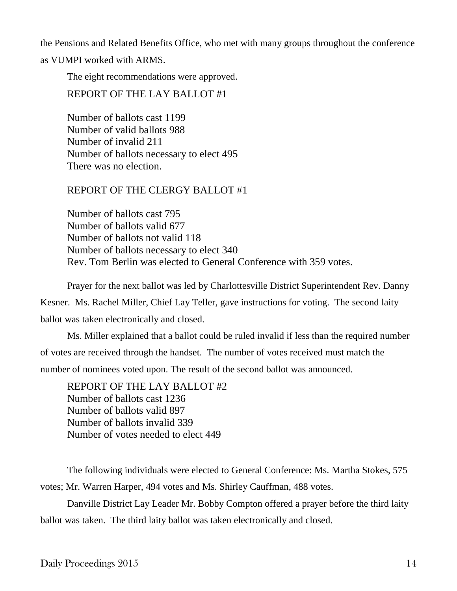the Pensions and Related Benefits Office, who met with many groups throughout the conference

as VUMPI worked with ARMS.

The eight recommendations were approved.

REPORT OF THE LAY BALLOT #1

Number of ballots cast 1199 Number of valid ballots 988 Number of invalid 211 Number of ballots necessary to elect 495 There was no election.

# REPORT OF THE CLERGY BALLOT #1

Number of ballots cast 795 Number of ballots valid 677 Number of ballots not valid 118 Number of ballots necessary to elect 340 Rev. Tom Berlin was elected to General Conference with 359 votes.

Prayer for the next ballot was led by Charlottesville District Superintendent Rev. Danny Kesner. Ms. Rachel Miller, Chief Lay Teller, gave instructions for voting. The second laity ballot was taken electronically and closed.

Ms. Miller explained that a ballot could be ruled invalid if less than the required number of votes are received through the handset. The number of votes received must match the number of nominees voted upon. The result of the second ballot was announced.

REPORT OF THE LAY BALLOT #2 Number of ballots cast 1236 Number of ballots valid 897 Number of ballots invalid 339 Number of votes needed to elect 449

The following individuals were elected to General Conference: Ms. Martha Stokes, 575 votes; Mr. Warren Harper, 494 votes and Ms. Shirley Cauffman, 488 votes.

Danville District Lay Leader Mr. Bobby Compton offered a prayer before the third laity ballot was taken. The third laity ballot was taken electronically and closed.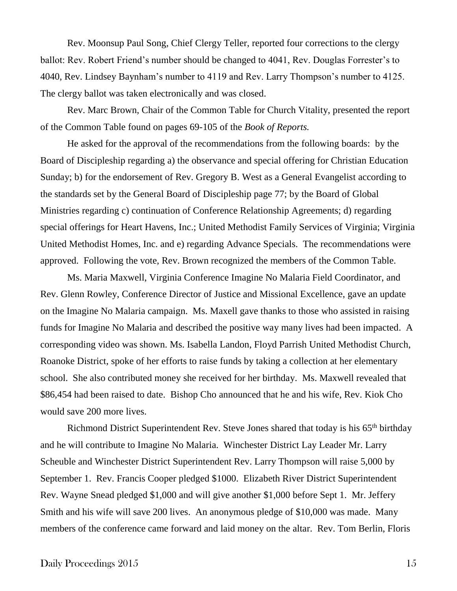Rev. Moonsup Paul Song, Chief Clergy Teller, reported four corrections to the clergy ballot: Rev. Robert Friend's number should be changed to 4041, Rev. Douglas Forrester's to 4040, Rev. Lindsey Baynham's number to 4119 and Rev. Larry Thompson's number to 4125. The clergy ballot was taken electronically and was closed.

Rev. Marc Brown, Chair of the Common Table for Church Vitality, presented the report of the Common Table found on pages 69-105 of the *Book of Reports.*

He asked for the approval of the recommendations from the following boards: by the Board of Discipleship regarding a) the observance and special offering for Christian Education Sunday; b) for the endorsement of Rev. Gregory B. West as a General Evangelist according to the standards set by the General Board of Discipleship page 77; by the Board of Global Ministries regarding c) continuation of Conference Relationship Agreements; d) regarding special offerings for Heart Havens, Inc.; United Methodist Family Services of Virginia; Virginia United Methodist Homes, Inc. and e) regarding Advance Specials. The recommendations were approved. Following the vote, Rev. Brown recognized the members of the Common Table.

Ms. Maria Maxwell, Virginia Conference Imagine No Malaria Field Coordinator, and Rev. Glenn Rowley, Conference Director of Justice and Missional Excellence, gave an update on the Imagine No Malaria campaign. Ms. Maxell gave thanks to those who assisted in raising funds for Imagine No Malaria and described the positive way many lives had been impacted. A corresponding video was shown. Ms. Isabella Landon, Floyd Parrish United Methodist Church, Roanoke District, spoke of her efforts to raise funds by taking a collection at her elementary school. She also contributed money she received for her birthday. Ms. Maxwell revealed that \$86,454 had been raised to date. Bishop Cho announced that he and his wife, Rev. Kiok Cho would save 200 more lives.

Richmond District Superintendent Rev. Steve Jones shared that today is his 65<sup>th</sup> birthday and he will contribute to Imagine No Malaria. Winchester District Lay Leader Mr. Larry Scheuble and Winchester District Superintendent Rev. Larry Thompson will raise 5,000 by September 1. Rev. Francis Cooper pledged \$1000. Elizabeth River District Superintendent Rev. Wayne Snead pledged \$1,000 and will give another \$1,000 before Sept 1. Mr. Jeffery Smith and his wife will save 200 lives. An anonymous pledge of \$10,000 was made. Many members of the conference came forward and laid money on the altar. Rev. Tom Berlin, Floris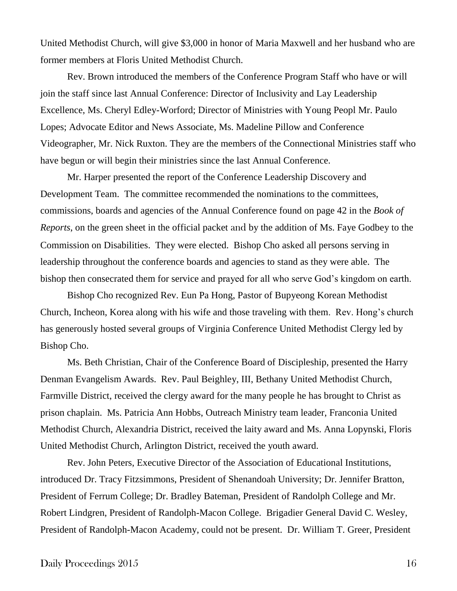United Methodist Church, will give \$3,000 in honor of Maria Maxwell and her husband who are former members at Floris United Methodist Church.

Rev. Brown introduced the members of the Conference Program Staff who have or will join the staff since last Annual Conference: Director of Inclusivity and Lay Leadership Excellence, Ms. Cheryl Edley-Worford; Director of Ministries with Young Peopl Mr. Paulo Lopes; Advocate Editor and News Associate, Ms. Madeline Pillow and Conference Videographer, Mr. Nick Ruxton. They are the members of the Connectional Ministries staff who have begun or will begin their ministries since the last Annual Conference.

Mr. Harper presented the report of the Conference Leadership Discovery and Development Team. The committee recommended the nominations to the committees, commissions, boards and agencies of the Annual Conference found on page 42 in the *Book of Reports*, on the green sheet in the official packet and by the addition of Ms. Faye Godbey to the Commission on Disabilities. They were elected. Bishop Cho asked all persons serving in leadership throughout the conference boards and agencies to stand as they were able. The bishop then consecrated them for service and prayed for all who serve God's kingdom on earth.

Bishop Cho recognized Rev. Eun Pa Hong, Pastor of Bupyeong Korean Methodist Church, Incheon, Korea along with his wife and those traveling with them. Rev. Hong's church has generously hosted several groups of Virginia Conference United Methodist Clergy led by Bishop Cho.

Ms. Beth Christian, Chair of the Conference Board of Discipleship, presented the Harry Denman Evangelism Awards. Rev. Paul Beighley, III, Bethany United Methodist Church, Farmville District, received the clergy award for the many people he has brought to Christ as prison chaplain. Ms. Patricia Ann Hobbs, Outreach Ministry team leader, Franconia United Methodist Church, Alexandria District, received the laity award and Ms. Anna Lopynski, Floris United Methodist Church, Arlington District, received the youth award.

Rev. John Peters, Executive Director of the Association of Educational Institutions, introduced Dr. Tracy Fitzsimmons, President of Shenandoah University; Dr. Jennifer Bratton, President of Ferrum College; Dr. Bradley Bateman, President of Randolph College and Mr. Robert Lindgren, President of Randolph-Macon College. Brigadier General David C. Wesley, President of Randolph-Macon Academy, could not be present. Dr. William T. Greer, President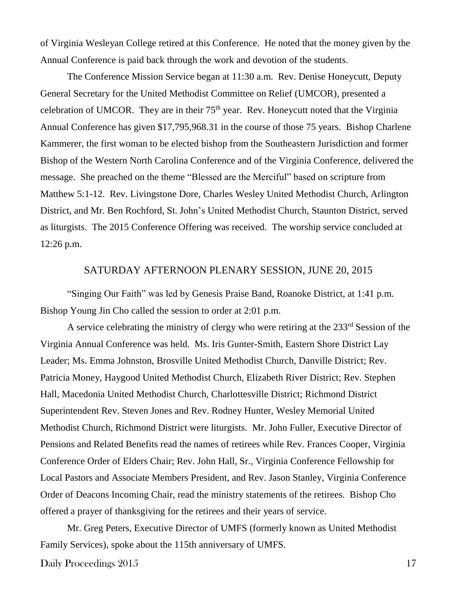of Virginia Wesleyan College retired at this Conference. He noted that the money given by the Annual Conference is paid back through the work and devotion of the students.

The Conference Mission Service began at 11:30 a.m. Rev. Denise Honeycutt, Deputy General Secretary for the United Methodist Committee on Relief (UMCOR), presented a celebration of UMCOR. They are in their  $75<sup>th</sup>$  year. Rev. Honeycutt noted that the Virginia Annual Conference has given \$17,795,968.31 in the course of those 75 years. Bishop Charlene Kammerer, the first woman to be elected bishop from the Southeastern Jurisdiction and former Bishop of the Western North Carolina Conference and of the Virginia Conference, delivered the message. She preached on the theme "Blessed are the Merciful" based on scripture from Matthew 5:1-12. Rev. Livingstone Dore, Charles Wesley United Methodist Church, Arlington District, and Mr. Ben Rochford, St. John's United Methodist Church, Staunton District, served as liturgists. The 2015 Conference Offering was received. The worship service concluded at 12:26 p.m.

### SATURDAY AFTERNOON PLENARY SESSION, JUNE 20, 2015

"Singing Our Faith" was led by Genesis Praise Band, Roanoke District, at 1:41 p.m. Bishop Young Jin Cho called the session to order at 2:01 p.m.

A service celebrating the ministry of clergy who were retiring at the 233<sup>rd</sup> Session of the Virginia Annual Conference was held. Ms. Iris Gunter-Smith, Eastern Shore District Lay Leader; Ms. Emma Johnston, Brosville United Methodist Church, Danville District; Rev. Patricia Money, Haygood United Methodist Church, Elizabeth River District; Rev. Stephen Hall, Macedonia United Methodist Church, Charlottesville District; Richmond District Superintendent Rev. Steven Jones and Rev. Rodney Hunter, Wesley Memorial United Methodist Church, Richmond District were liturgists. Mr. John Fuller, Executive Director of Pensions and Related Benefits read the names of retirees while Rev. Frances Cooper, Virginia Conference Order of Elders Chair; Rev. John Hall, Sr., Virginia Conference Fellowship for Local Pastors and Associate Members President, and Rev. Jason Stanley, Virginia Conference Order of Deacons Incoming Chair, read the ministry statements of the retirees. Bishop Cho offered a prayer of thanksgiving for the retirees and their years of service.

Mr. Greg Peters, Executive Director of UMFS (formerly known as United Methodist Family Services), spoke about the 115th anniversary of UMFS.

Daily Proceedings 2015 17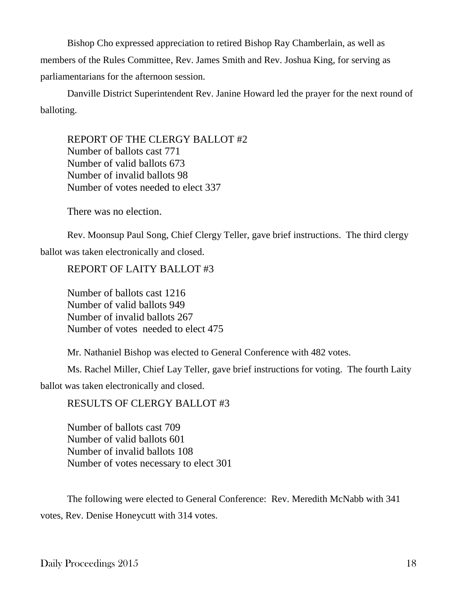Bishop Cho expressed appreciation to retired Bishop Ray Chamberlain, as well as members of the Rules Committee, Rev. James Smith and Rev. Joshua King, for serving as parliamentarians for the afternoon session.

Danville District Superintendent Rev. Janine Howard led the prayer for the next round of balloting.

REPORT OF THE CLERGY BALLOT #2 Number of ballots cast 771 Number of valid ballots 673 Number of invalid ballots 98 Number of votes needed to elect 337

There was no election.

Rev. Moonsup Paul Song, Chief Clergy Teller, gave brief instructions. The third clergy ballot was taken electronically and closed.

REPORT OF LAITY BALLOT #3

Number of ballots cast 1216 Number of valid ballots 949 Number of invalid ballots 267 Number of votes needed to elect 475

Mr. Nathaniel Bishop was elected to General Conference with 482 votes.

Ms. Rachel Miller, Chief Lay Teller, gave brief instructions for voting. The fourth Laity ballot was taken electronically and closed.

RESULTS OF CLERGY BALLOT #3

Number of ballots cast 709 Number of valid ballots 601 Number of invalid ballots 108 Number of votes necessary to elect 301

The following were elected to General Conference: Rev. Meredith McNabb with 341 votes, Rev. Denise Honeycutt with 314 votes.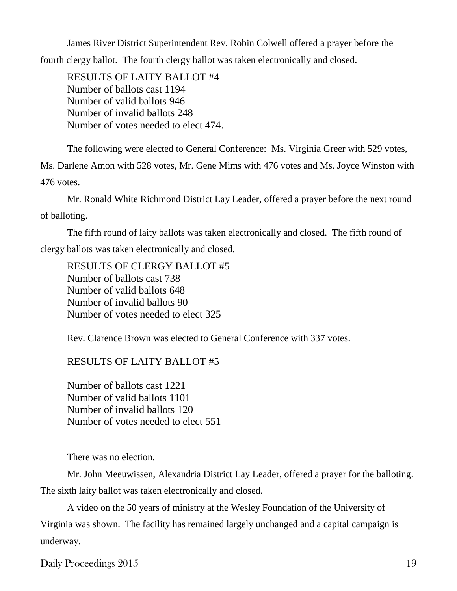James River District Superintendent Rev. Robin Colwell offered a prayer before the fourth clergy ballot. The fourth clergy ballot was taken electronically and closed.

RESULTS OF LAITY BALLOT #4 Number of ballots cast 1194 Number of valid ballots 946 Number of invalid ballots 248 Number of votes needed to elect 474.

The following were elected to General Conference: Ms. Virginia Greer with 529 votes, Ms. Darlene Amon with 528 votes, Mr. Gene Mims with 476 votes and Ms. Joyce Winston with 476 votes.

Mr. Ronald White Richmond District Lay Leader, offered a prayer before the next round of balloting.

The fifth round of laity ballots was taken electronically and closed. The fifth round of clergy ballots was taken electronically and closed.

RESULTS OF CLERGY BALLOT #5 Number of ballots cast 738 Number of valid ballots 648 Number of invalid ballots 90 Number of votes needed to elect 325

Rev. Clarence Brown was elected to General Conference with 337 votes.

RESULTS OF LAITY BALLOT #5

Number of ballots cast 1221 Number of valid ballots 1101 Number of invalid ballots 120 Number of votes needed to elect 551

There was no election.

Mr. John Meeuwissen, Alexandria District Lay Leader, offered a prayer for the balloting. The sixth laity ballot was taken electronically and closed.

A video on the 50 years of ministry at the Wesley Foundation of the University of Virginia was shown. The facility has remained largely unchanged and a capital campaign is underway.

Daily Proceedings 2015 19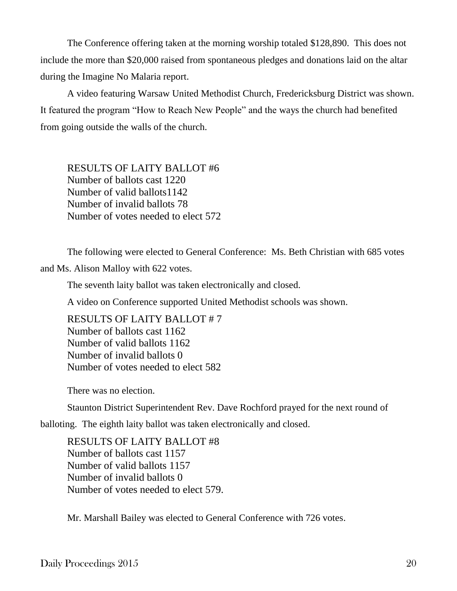The Conference offering taken at the morning worship totaled \$128,890. This does not include the more than \$20,000 raised from spontaneous pledges and donations laid on the altar during the Imagine No Malaria report.

A video featuring Warsaw United Methodist Church, Fredericksburg District was shown. It featured the program "How to Reach New People" and the ways the church had benefited from going outside the walls of the church.

RESULTS OF LAITY BALLOT #6 Number of ballots cast 1220 Number of valid ballots1142 Number of invalid ballots 78 Number of votes needed to elect 572

The following were elected to General Conference: Ms. Beth Christian with 685 votes and Ms. Alison Malloy with 622 votes.

The seventh laity ballot was taken electronically and closed.

A video on Conference supported United Methodist schools was shown.

RESULTS OF LAITY BALLOT # 7 Number of ballots cast 1162 Number of valid ballots 1162 Number of invalid ballots 0 Number of votes needed to elect 582

There was no election.

Staunton District Superintendent Rev. Dave Rochford prayed for the next round of

balloting. The eighth laity ballot was taken electronically and closed.

RESULTS OF LAITY BALLOT #8 Number of ballots cast 1157 Number of valid ballots 1157 Number of invalid ballots 0 Number of votes needed to elect 579.

Mr. Marshall Bailey was elected to General Conference with 726 votes.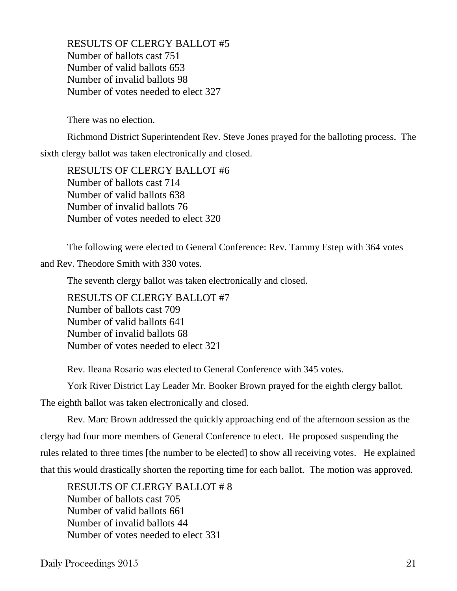RESULTS OF CLERGY BALLOT #5 Number of ballots cast 751 Number of valid ballots 653 Number of invalid ballots 98 Number of votes needed to elect 327

There was no election.

Richmond District Superintendent Rev. Steve Jones prayed for the balloting process. The

sixth clergy ballot was taken electronically and closed.

RESULTS OF CLERGY BALLOT #6 Number of ballots cast 714 Number of valid ballots 638 Number of invalid ballots 76 Number of votes needed to elect 320

The following were elected to General Conference: Rev. Tammy Estep with 364 votes

and Rev. Theodore Smith with 330 votes.

The seventh clergy ballot was taken electronically and closed.

RESULTS OF CLERGY BALLOT #7 Number of ballots cast 709 Number of valid ballots 641 Number of invalid ballots 68 Number of votes needed to elect 321

Rev. Ileana Rosario was elected to General Conference with 345 votes.

York River District Lay Leader Mr. Booker Brown prayed for the eighth clergy ballot.

The eighth ballot was taken electronically and closed.

Rev. Marc Brown addressed the quickly approaching end of the afternoon session as the clergy had four more members of General Conference to elect. He proposed suspending the rules related to three times [the number to be elected] to show all receiving votes. He explained that this would drastically shorten the reporting time for each ballot. The motion was approved.

RESULTS OF CLERGY BALLOT # 8 Number of ballots cast 705 Number of valid ballots 661 Number of invalid ballots 44 Number of votes needed to elect 331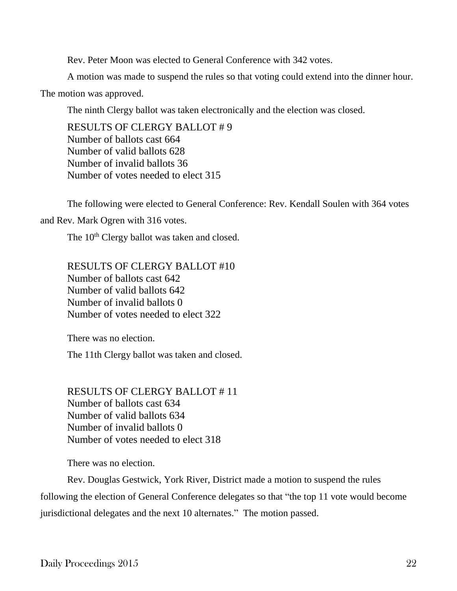Rev. Peter Moon was elected to General Conference with 342 votes.

A motion was made to suspend the rules so that voting could extend into the dinner hour.

The motion was approved.

The ninth Clergy ballot was taken electronically and the election was closed.

RESULTS OF CLERGY BALLOT # 9 Number of ballots cast 664 Number of valid ballots 628 Number of invalid ballots 36 Number of votes needed to elect 315

The following were elected to General Conference: Rev. Kendall Soulen with 364 votes

and Rev. Mark Ogren with 316 votes.

The 10<sup>th</sup> Clergy ballot was taken and closed.

RESULTS OF CLERGY BALLOT #10 Number of ballots cast 642 Number of valid ballots 642 Number of invalid ballots 0 Number of votes needed to elect 322

There was no election.

The 11th Clergy ballot was taken and closed.

RESULTS OF CLERGY BALLOT # 11 Number of ballots cast 634 Number of valid ballots 634 Number of invalid ballots 0 Number of votes needed to elect 318

There was no election.

Rev. Douglas Gestwick, York River, District made a motion to suspend the rules following the election of General Conference delegates so that "the top 11 vote would become jurisdictional delegates and the next 10 alternates." The motion passed.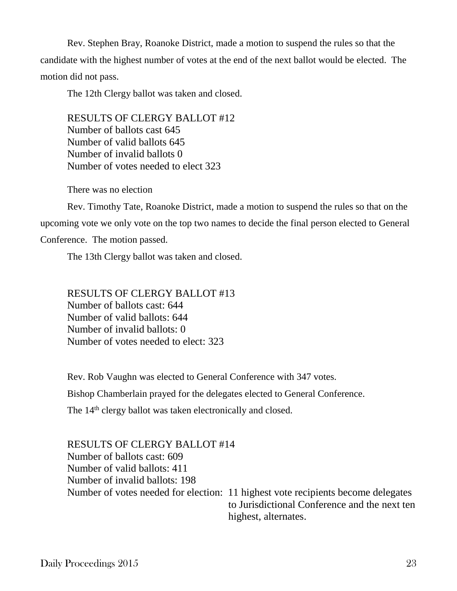Rev. Stephen Bray, Roanoke District, made a motion to suspend the rules so that the candidate with the highest number of votes at the end of the next ballot would be elected. The motion did not pass.

The 12th Clergy ballot was taken and closed.

RESULTS OF CLERGY BALLOT #12 Number of ballots cast 645 Number of valid ballots 645 Number of invalid ballots 0 Number of votes needed to elect 323

There was no election

Rev. Timothy Tate, Roanoke District, made a motion to suspend the rules so that on the upcoming vote we only vote on the top two names to decide the final person elected to General Conference. The motion passed.

The 13th Clergy ballot was taken and closed.

RESULTS OF CLERGY BALLOT #13 Number of ballots cast: 644 Number of valid ballots: 644 Number of invalid ballots: 0 Number of votes needed to elect: 323

Rev. Rob Vaughn was elected to General Conference with 347 votes. Bishop Chamberlain prayed for the delegates elected to General Conference. The 14<sup>th</sup> clergy ballot was taken electronically and closed.

RESULTS OF CLERGY BALLOT #14 Number of ballots cast: 609 Number of valid ballots: 411 Number of invalid ballots: 198

Number of votes needed for election: 11 highest vote recipients become delegates to Jurisdictional Conference and the next ten highest, alternates.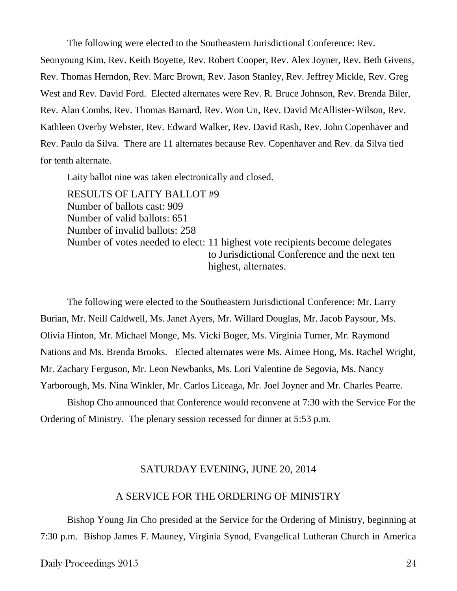The following were elected to the Southeastern Jurisdictional Conference: Rev. Seonyoung Kim, Rev. Keith Boyette, Rev. Robert Cooper, Rev. Alex Joyner, Rev. Beth Givens, Rev. Thomas Herndon, Rev. Marc Brown, Rev. Jason Stanley, Rev. Jeffrey Mickle, Rev. Greg West and Rev. David Ford. Elected alternates were Rev. R. Bruce Johnson, Rev. Brenda Biler, Rev. Alan Combs, Rev. Thomas Barnard, Rev. Won Un, Rev. David McAllister-Wilson, Rev. Kathleen Overby Webster, Rev. Edward Walker, Rev. David Rash, Rev. John Copenhaver and Rev. Paulo da Silva. There are 11 alternates because Rev. Copenhaver and Rev. da Silva tied for tenth alternate.

Laity ballot nine was taken electronically and closed.

RESULTS OF LAITY BALLOT #9 Number of ballots cast: 909 Number of valid ballots: 651 Number of invalid ballots: 258 Number of votes needed to elect: 11 highest vote recipients become delegates to Jurisdictional Conference and the next ten highest, alternates.

The following were elected to the Southeastern Jurisdictional Conference: Mr. Larry Burian, Mr. Neill Caldwell, Ms. Janet Ayers, Mr. Willard Douglas, Mr. Jacob Paysour, Ms. Olivia Hinton, Mr. Michael Monge, Ms. Vicki Boger, Ms. Virginia Turner, Mr. Raymond Nations and Ms. Brenda Brooks. Elected alternates were Ms. Aimee Hong, Ms. Rachel Wright, Mr. Zachary Ferguson, Mr. Leon Newbanks, Ms. Lori Valentine de Segovia, Ms. Nancy Yarborough, Ms. Nina Winkler, Mr. Carlos Liceaga, Mr. Joel Joyner and Mr. Charles Pearre.

Bishop Cho announced that Conference would reconvene at 7:30 with the Service For the Ordering of Ministry. The plenary session recessed for dinner at 5:53 p.m.

### SATURDAY EVENING, JUNE 20, 2014

# A SERVICE FOR THE ORDERING OF MINISTRY

Bishop Young Jin Cho presided at the Service for the Ordering of Ministry, beginning at 7:30 p.m. Bishop James F. Mauney, Virginia Synod, Evangelical Lutheran Church in America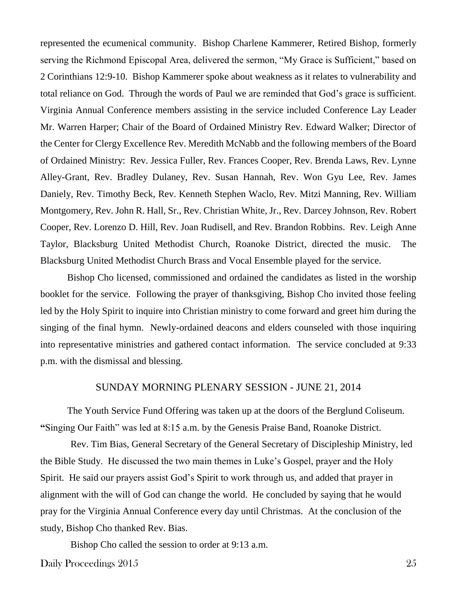represented the ecumenical community. Bishop Charlene Kammerer, Retired Bishop, formerly serving the Richmond Episcopal Area, delivered the sermon, "My Grace is Sufficient," based on 2 Corinthians 12:9-10. Bishop Kammerer spoke about weakness as it relates to vulnerability and total reliance on God. Through the words of Paul we are reminded that God's grace is sufficient. Virginia Annual Conference members assisting in the service included Conference Lay Leader Mr. Warren Harper; Chair of the Board of Ordained Ministry Rev. Edward Walker; Director of the Center for Clergy Excellence Rev. Meredith McNabb and the following members of the Board of Ordained Ministry: Rev. Jessica Fuller, Rev. Frances Cooper, Rev. Brenda Laws, Rev. Lynne Alley-Grant, Rev. Bradley Dulaney, Rev. Susan Hannah, Rev. Won Gyu Lee, Rev. James Daniely, Rev. Timothy Beck, Rev. Kenneth Stephen Waclo, Rev. Mitzi Manning, Rev. William Montgomery, Rev. John R. Hall, Sr., Rev. Christian White, Jr., Rev. Darcey Johnson, Rev. Robert Cooper, Rev. Lorenzo D. Hill, Rev. Joan Rudisell, and Rev. Brandon Robbins. Rev. Leigh Anne Taylor, Blacksburg United Methodist Church, Roanoke District, directed the music. The Blacksburg United Methodist Church Brass and Vocal Ensemble played for the service.

Bishop Cho licensed, commissioned and ordained the candidates as listed in the worship booklet for the service. Following the prayer of thanksgiving, Bishop Cho invited those feeling led by the Holy Spirit to inquire into Christian ministry to come forward and greet him during the singing of the final hymn. Newly-ordained deacons and elders counseled with those inquiring into representative ministries and gathered contact information. The service concluded at 9:33 p.m. with the dismissal and blessing.

## SUNDAY MORNING PLENARY SESSION - JUNE 21, 2014

The Youth Service Fund Offering was taken up at the doors of the Berglund Coliseum. **"**Singing Our Faith" was led at 8:15 a.m. by the Genesis Praise Band, Roanoke District.

Rev. Tim Bias, General Secretary of the General Secretary of Discipleship Ministry, led the Bible Study. He discussed the two main themes in Luke's Gospel, prayer and the Holy Spirit. He said our prayers assist God's Spirit to work through us, and added that prayer in alignment with the will of God can change the world. He concluded by saying that he would pray for the Virginia Annual Conference every day until Christmas. At the conclusion of the study, Bishop Cho thanked Rev. Bias.

Bishop Cho called the session to order at 9:13 a.m.

Daily Proceedings 2015 25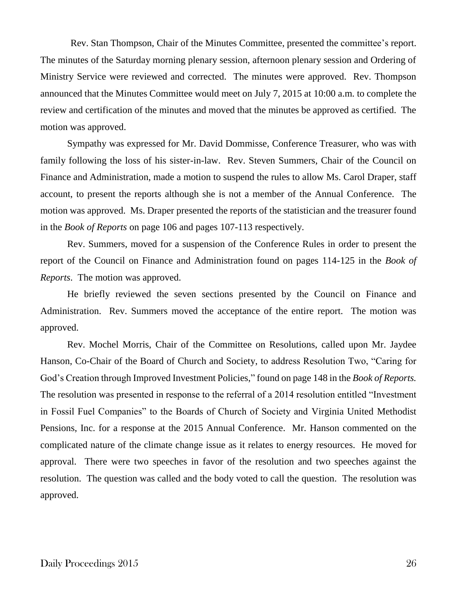Rev. Stan Thompson, Chair of the Minutes Committee, presented the committee's report. The minutes of the Saturday morning plenary session, afternoon plenary session and Ordering of Ministry Service were reviewed and corrected. The minutes were approved. Rev. Thompson announced that the Minutes Committee would meet on July 7, 2015 at 10:00 a.m. to complete the review and certification of the minutes and moved that the minutes be approved as certified. The motion was approved.

Sympathy was expressed for Mr. David Dommisse, Conference Treasurer, who was with family following the loss of his sister-in-law. Rev. Steven Summers, Chair of the Council on Finance and Administration, made a motion to suspend the rules to allow Ms. Carol Draper, staff account, to present the reports although she is not a member of the Annual Conference. The motion was approved. Ms. Draper presented the reports of the statistician and the treasurer found in the *Book of Reports* on page 106 and pages 107-113 respectively.

Rev. Summers, moved for a suspension of the Conference Rules in order to present the report of the Council on Finance and Administration found on pages 114-125 in the *Book of Reports*. The motion was approved.

He briefly reviewed the seven sections presented by the Council on Finance and Administration. Rev. Summers moved the acceptance of the entire report. The motion was approved.

Rev. Mochel Morris, Chair of the Committee on Resolutions, called upon Mr. Jaydee Hanson, Co-Chair of the Board of Church and Society, to address Resolution Two, "Caring for God's Creation through Improved Investment Policies," found on page 148 in the *Book of Reports.* The resolution was presented in response to the referral of a 2014 resolution entitled "Investment in Fossil Fuel Companies" to the Boards of Church of Society and Virginia United Methodist Pensions, Inc. for a response at the 2015 Annual Conference. Mr. Hanson commented on the complicated nature of the climate change issue as it relates to energy resources. He moved for approval. There were two speeches in favor of the resolution and two speeches against the resolution. The question was called and the body voted to call the question. The resolution was approved.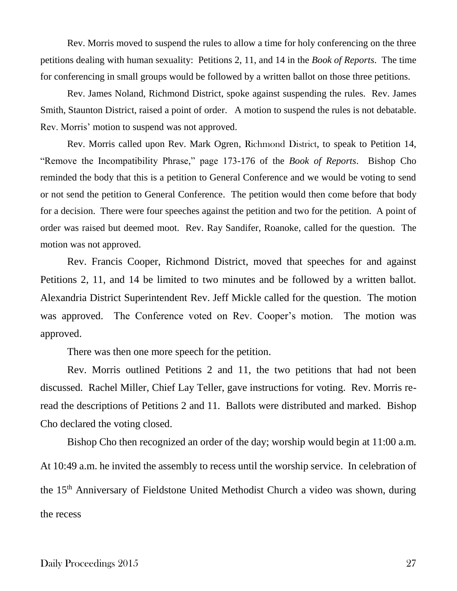Rev. Morris moved to suspend the rules to allow a time for holy conferencing on the three petitions dealing with human sexuality: Petitions 2, 11, and 14 in the *Book of Reports*. The time for conferencing in small groups would be followed by a written ballot on those three petitions.

Rev. James Noland, Richmond District, spoke against suspending the rules. Rev. James Smith, Staunton District, raised a point of order. A motion to suspend the rules is not debatable. Rev. Morris' motion to suspend was not approved.

Rev. Morris called upon Rev. Mark Ogren, Richmond District, to speak to Petition 14, "Remove the Incompatibility Phrase," page 173-176 of the *Book of Reports*. Bishop Cho reminded the body that this is a petition to General Conference and we would be voting to send or not send the petition to General Conference. The petition would then come before that body for a decision. There were four speeches against the petition and two for the petition. A point of order was raised but deemed moot. Rev. Ray Sandifer, Roanoke, called for the question. The motion was not approved.

Rev. Francis Cooper, Richmond District, moved that speeches for and against Petitions 2, 11, and 14 be limited to two minutes and be followed by a written ballot. Alexandria District Superintendent Rev. Jeff Mickle called for the question. The motion was approved. The Conference voted on Rev. Cooper's motion. The motion was approved.

There was then one more speech for the petition.

Rev. Morris outlined Petitions 2 and 11, the two petitions that had not been discussed. Rachel Miller, Chief Lay Teller, gave instructions for voting. Rev. Morris reread the descriptions of Petitions 2 and 11. Ballots were distributed and marked. Bishop Cho declared the voting closed.

Bishop Cho then recognized an order of the day; worship would begin at 11:00 a.m. At 10:49 a.m. he invited the assembly to recess until the worship service. In celebration of the 15<sup>th</sup> Anniversary of Fieldstone United Methodist Church a video was shown, during the recess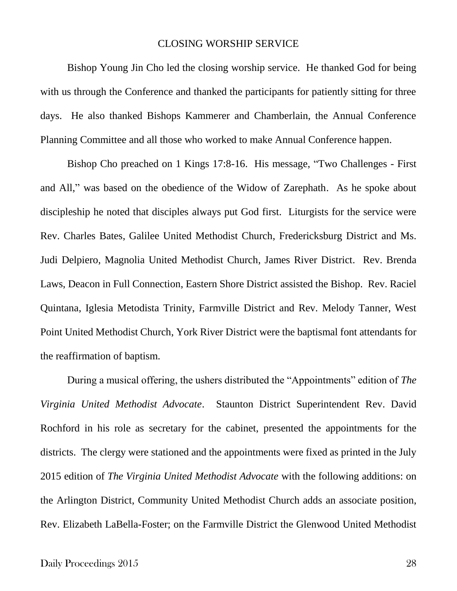### CLOSING WORSHIP SERVICE

Bishop Young Jin Cho led the closing worship service. He thanked God for being with us through the Conference and thanked the participants for patiently sitting for three days. He also thanked Bishops Kammerer and Chamberlain, the Annual Conference Planning Committee and all those who worked to make Annual Conference happen.

Bishop Cho preached on 1 Kings 17:8-16. His message, "Two Challenges - First and All," was based on the obedience of the Widow of Zarephath. As he spoke about discipleship he noted that disciples always put God first. Liturgists for the service were Rev. Charles Bates, Galilee United Methodist Church, Fredericksburg District and Ms. Judi Delpiero, Magnolia United Methodist Church, James River District. Rev. Brenda Laws, Deacon in Full Connection, Eastern Shore District assisted the Bishop. Rev. Raciel Quintana, Iglesia Metodista Trinity, Farmville District and Rev. Melody Tanner, West Point United Methodist Church, York River District were the baptismal font attendants for the reaffirmation of baptism.

During a musical offering, the ushers distributed the "Appointments" edition of *The Virginia United Methodist Advocate*. Staunton District Superintendent Rev. David Rochford in his role as secretary for the cabinet, presented the appointments for the districts. The clergy were stationed and the appointments were fixed as printed in the July 2015 edition of *The Virginia United Methodist Advocate* with the following additions: on the Arlington District, Community United Methodist Church adds an associate position, Rev. Elizabeth LaBella-Foster; on the Farmville District the Glenwood United Methodist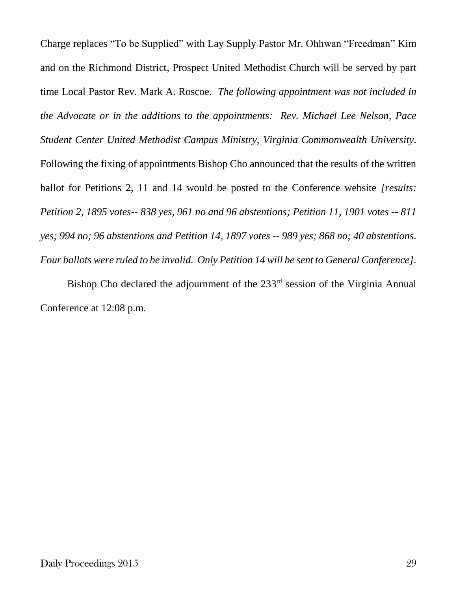Charge replaces "To be Supplied" with Lay Supply Pastor Mr. Ohhwan "Freedman" Kim and on the Richmond District, Prospect United Methodist Church will be served by part time Local Pastor Rev. Mark A. Roscoe. *The following appointment was not included in the Advocate or in the additions to the appointments: Rev. Michael Lee Nelson, Pace Student Center United Methodist Campus Ministry, Virginia Commonwealth University*. Following the fixing of appointments Bishop Cho announced that the results of the written ballot for Petitions 2, 11 and 14 would be posted to the Conference website *[results: Petition 2, 1895 votes-- 838 yes, 961 no and 96 abstentions; Petition 11, 1901 votes -- 811 yes; 994 no; 96 abstentions and Petition 14, 1897 votes -- 989 yes; 868 no; 40 abstentions. Four ballots were ruled to be invalid. Only Petition 14 will be sent to General Conference].*

Bishop Cho declared the adjournment of the 233<sup>rd</sup> session of the Virginia Annual Conference at 12:08 p.m.